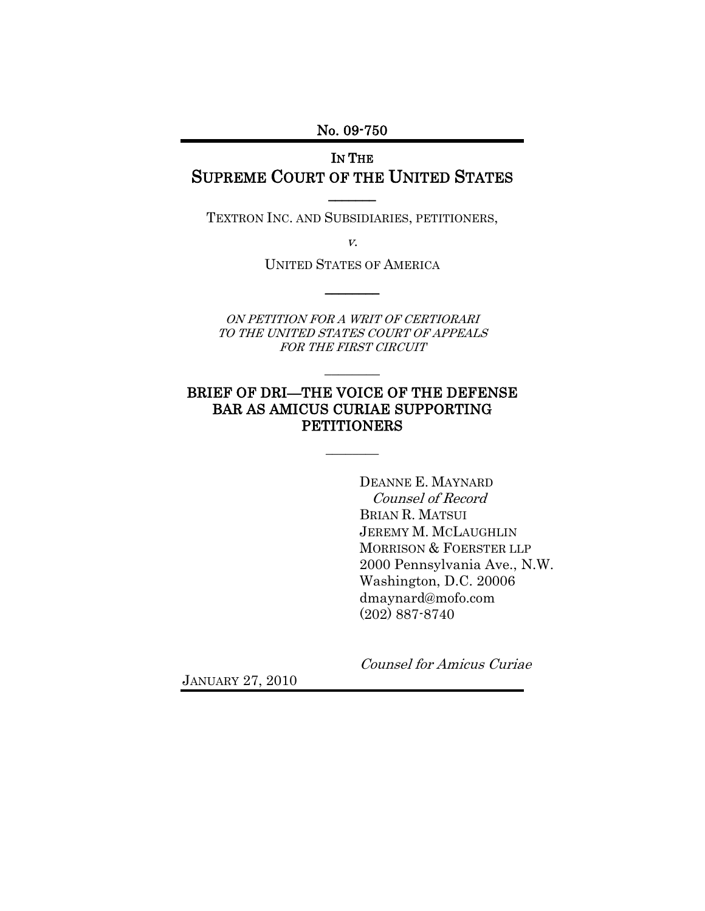No. 09-750

# IN THE SUPREME COURT OF THE UNITED STATES

TEXTRON INC. AND SUBSIDIARIES, PETITIONERS,

 $\overline{\phantom{a}}$ 

v.

UNITED STATES OF AMERICA  $\overline{\phantom{a}}$ 

ON PETITION FOR A WRIT OF CERTIORARI TO THE UNITED STATES COURT OF APPEALS FOR THE FIRST CIRCUIT

 $\overline{\phantom{a}}$ 

### BRIEF OF DRI—THE VOICE OF THE DEFENSE BAR AS AMICUS CURIAE SUPPORTING **PETITIONERS**

 $\mathcal{L}$ 

DEANNE E. MAYNARD Counsel of Record BRIAN R. MATSUI JEREMY M. MCLAUGHLIN MORRISON & FOERSTER LLP 2000 Pennsylvania Ave., N.W. Washington, D.C. 20006 dmaynard@mofo.com (202) 887-8740

JANUARY 27, 2010

Counsel for Amicus Curiae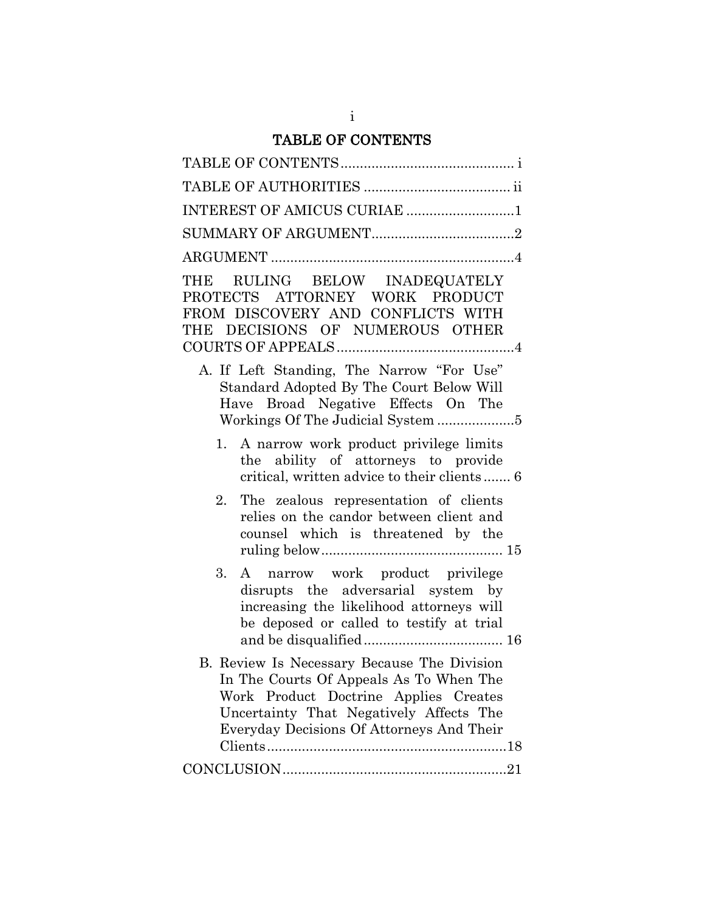# TABLE OF CONTENTS

| INTEREST OF AMICUS CURIAE 1                                                                                                                                                                                             |
|-------------------------------------------------------------------------------------------------------------------------------------------------------------------------------------------------------------------------|
|                                                                                                                                                                                                                         |
|                                                                                                                                                                                                                         |
| THE RULING BELOW INADEQUATELY<br>PROTECTS ATTORNEY WORK PRODUCT<br>FROM DISCOVERY AND CONFLICTS WITH<br>THE DECISIONS OF NUMEROUS OTHER                                                                                 |
| A. If Left Standing, The Narrow "For Use"<br>Standard Adopted By The Court Below Will<br>Have Broad Negative Effects On The                                                                                             |
| A narrow work product privilege limits<br>1.<br>the ability of attorneys to provide<br>critical, written advice to their clients 6                                                                                      |
| The zealous representation of clients<br>2.<br>relies on the candor between client and<br>counsel which is threatened by the                                                                                            |
| A narrow work product privilege<br>3.<br>disrupts the adversarial system by<br>increasing the likelihood attorneys will<br>be deposed or called to testify at trial                                                     |
| B. Review Is Necessary Because The Division<br>In The Courts Of Appeals As To When The<br>Work Product Doctrine Applies Creates<br>Uncertainty That Negatively Affects The<br>Everyday Decisions Of Attorneys And Their |
|                                                                                                                                                                                                                         |

i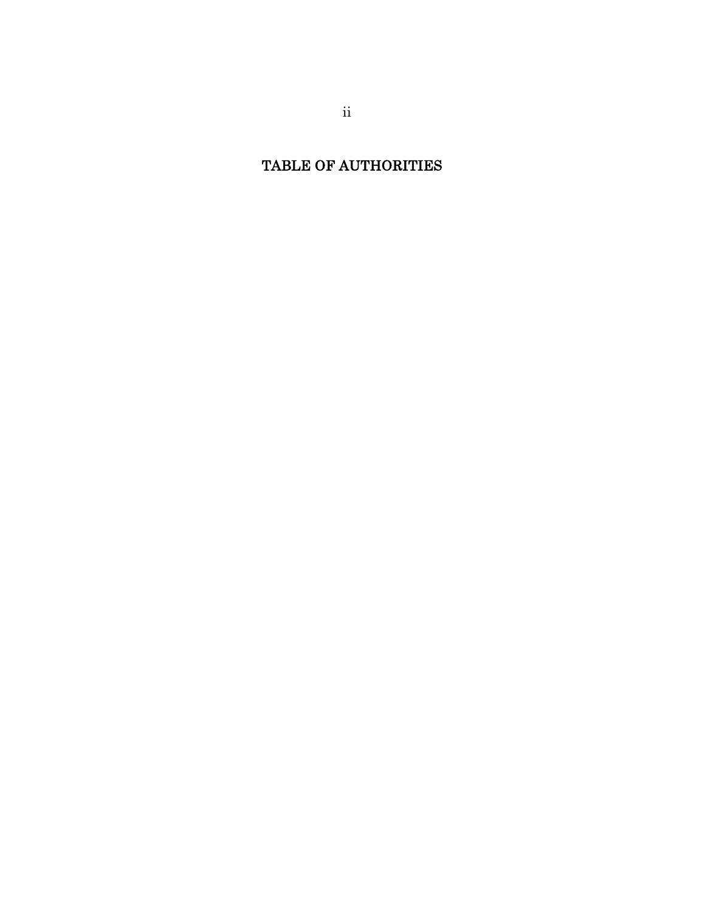TABLE OF AUTHORITIES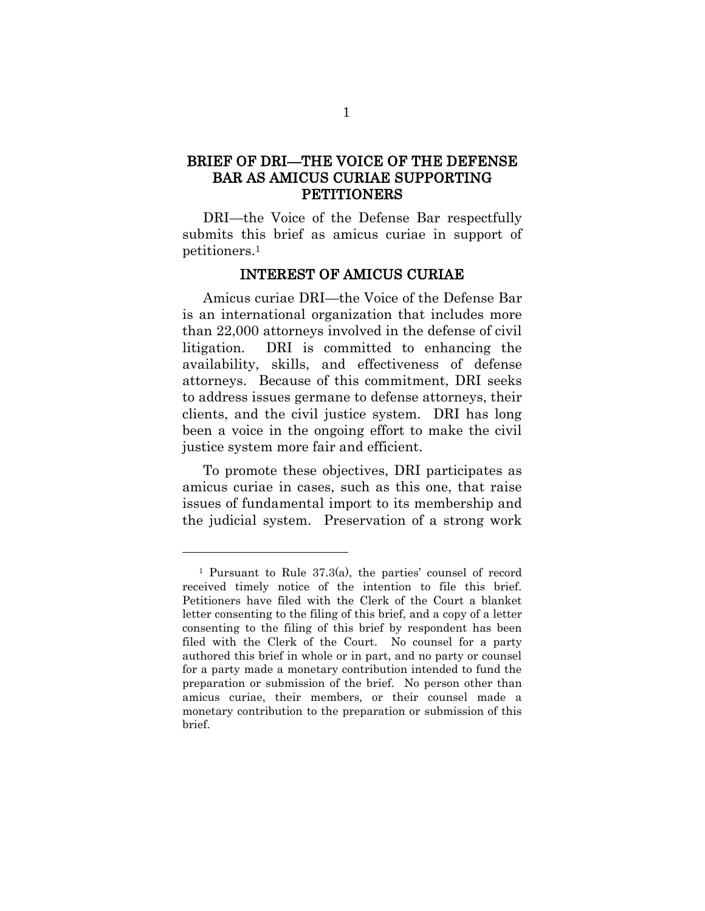## BRIEF OF DRI—THE VOICE OF THE DEFENSE BAR AS AMICUS CURIAE SUPPORTING PETITIONERS

DRI—the Voice of the Defense Bar respectfully submits this brief as amicus curiae in support of petitioners.<sup>1</sup>

#### INTEREST OF AMICUS CURIAE

Amicus curiae DRI—the Voice of the Defense Bar is an international organization that includes more than 22,000 attorneys involved in the defense of civil litigation. DRI is committed to enhancing the availability, skills, and effectiveness of defense attorneys. Because of this commitment, DRI seeks to address issues germane to defense attorneys, their clients, and the civil justice system. DRI has long been a voice in the ongoing effort to make the civil justice system more fair and efficient.

To promote these objectives, DRI participates as amicus curiae in cases, such as this one, that raise issues of fundamental import to its membership and the judicial system. Preservation of a strong work

l

<sup>&</sup>lt;sup>1</sup> Pursuant to Rule  $37.3(a)$ , the parties' counsel of record received timely notice of the intention to file this brief. Petitioners have filed with the Clerk of the Court a blanket letter consenting to the filing of this brief, and a copy of a letter consenting to the filing of this brief by respondent has been filed with the Clerk of the Court. No counsel for a party authored this brief in whole or in part, and no party or counsel for a party made a monetary contribution intended to fund the preparation or submission of the brief. No person other than amicus curiae, their members, or their counsel made a monetary contribution to the preparation or submission of this brief.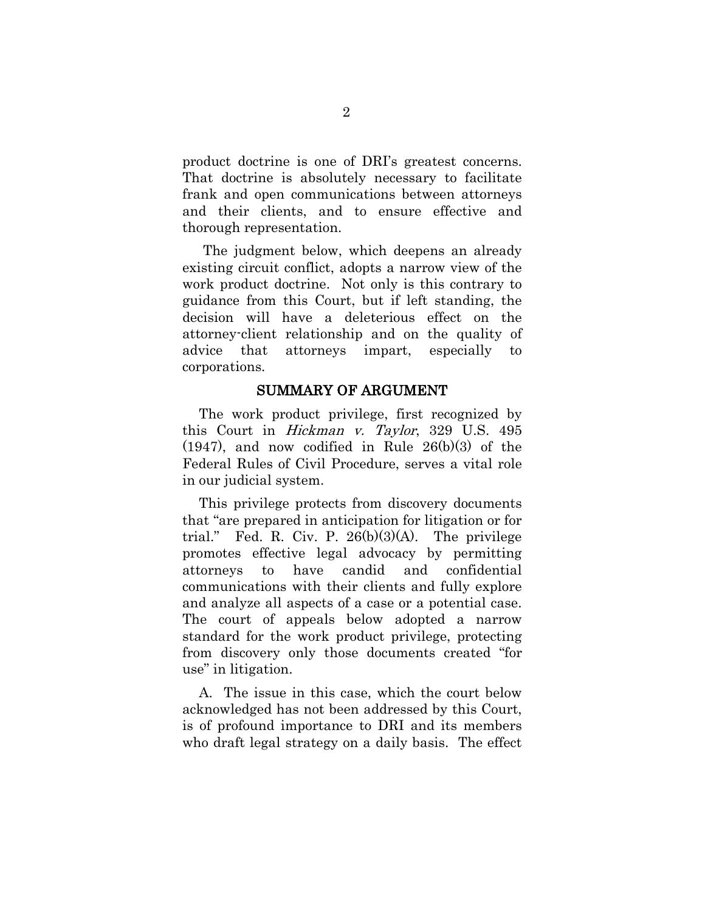product doctrine is one of DRI"s greatest concerns. That doctrine is absolutely necessary to facilitate frank and open communications between attorneys and their clients, and to ensure effective and thorough representation.

The judgment below, which deepens an already existing circuit conflict, adopts a narrow view of the work product doctrine. Not only is this contrary to guidance from this Court, but if left standing, the decision will have a deleterious effect on the attorney-client relationship and on the quality of advice that attorneys impart, especially to corporations.

#### SUMMARY OF ARGUMENT

The work product privilege, first recognized by this Court in Hickman v. Taylor, 329 U.S. 495 (1947), and now codified in Rule 26(b)(3) of the Federal Rules of Civil Procedure, serves a vital role in our judicial system.

This privilege protects from discovery documents that "are prepared in anticipation for litigation or for trial." Fed. R. Civ. P.  $26(b)(3)(A)$ . The privilege promotes effective legal advocacy by permitting attorneys to have candid and confidential communications with their clients and fully explore and analyze all aspects of a case or a potential case. The court of appeals below adopted a narrow standard for the work product privilege, protecting from discovery only those documents created "for use" in litigation.

A. The issue in this case, which the court below acknowledged has not been addressed by this Court, is of profound importance to DRI and its members who draft legal strategy on a daily basis. The effect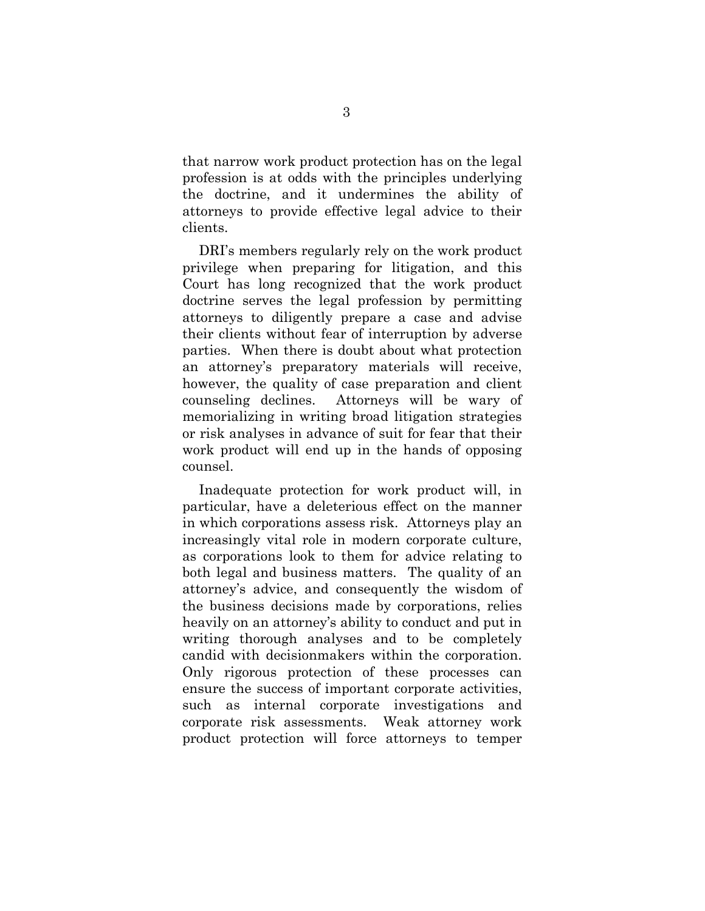that narrow work product protection has on the legal profession is at odds with the principles underlying the doctrine, and it undermines the ability of attorneys to provide effective legal advice to their clients.

DRI"s members regularly rely on the work product privilege when preparing for litigation, and this Court has long recognized that the work product doctrine serves the legal profession by permitting attorneys to diligently prepare a case and advise their clients without fear of interruption by adverse parties. When there is doubt about what protection an attorney"s preparatory materials will receive, however, the quality of case preparation and client counseling declines. Attorneys will be wary of memorializing in writing broad litigation strategies or risk analyses in advance of suit for fear that their work product will end up in the hands of opposing counsel.

Inadequate protection for work product will, in particular, have a deleterious effect on the manner in which corporations assess risk. Attorneys play an increasingly vital role in modern corporate culture, as corporations look to them for advice relating to both legal and business matters. The quality of an attorney's advice, and consequently the wisdom of the business decisions made by corporations, relies heavily on an attorney's ability to conduct and put in writing thorough analyses and to be completely candid with decisionmakers within the corporation. Only rigorous protection of these processes can ensure the success of important corporate activities, such as internal corporate investigations and corporate risk assessments. Weak attorney work product protection will force attorneys to temper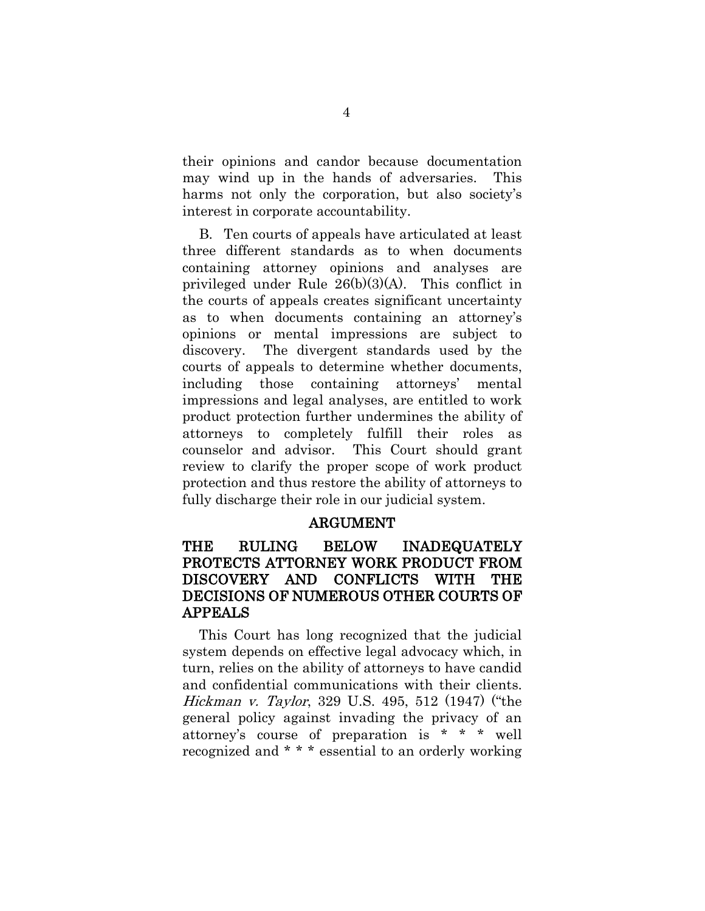their opinions and candor because documentation may wind up in the hands of adversaries. This harms not only the corporation, but also society's interest in corporate accountability.

B. Ten courts of appeals have articulated at least three different standards as to when documents containing attorney opinions and analyses are privileged under Rule 26(b)(3)(A). This conflict in the courts of appeals creates significant uncertainty as to when documents containing an attorney's opinions or mental impressions are subject to discovery. The divergent standards used by the courts of appeals to determine whether documents, including those containing attorneys" mental impressions and legal analyses, are entitled to work product protection further undermines the ability of attorneys to completely fulfill their roles as counselor and advisor. This Court should grant review to clarify the proper scope of work product protection and thus restore the ability of attorneys to fully discharge their role in our judicial system.

#### ARGUMENT

## THE RULING BELOW INADEQUATELY PROTECTS ATTORNEY WORK PRODUCT FROM DISCOVERY AND CONFLICTS WITH THE DECISIONS OF NUMEROUS OTHER COURTS OF APPEALS

This Court has long recognized that the judicial system depends on effective legal advocacy which, in turn, relies on the ability of attorneys to have candid and confidential communications with their clients. Hickman v. Taylor, 329 U.S. 495, 512 (1947) ("the general policy against invading the privacy of an attorney"s course of preparation is \* \* \* well recognized and \* \* \* essential to an orderly working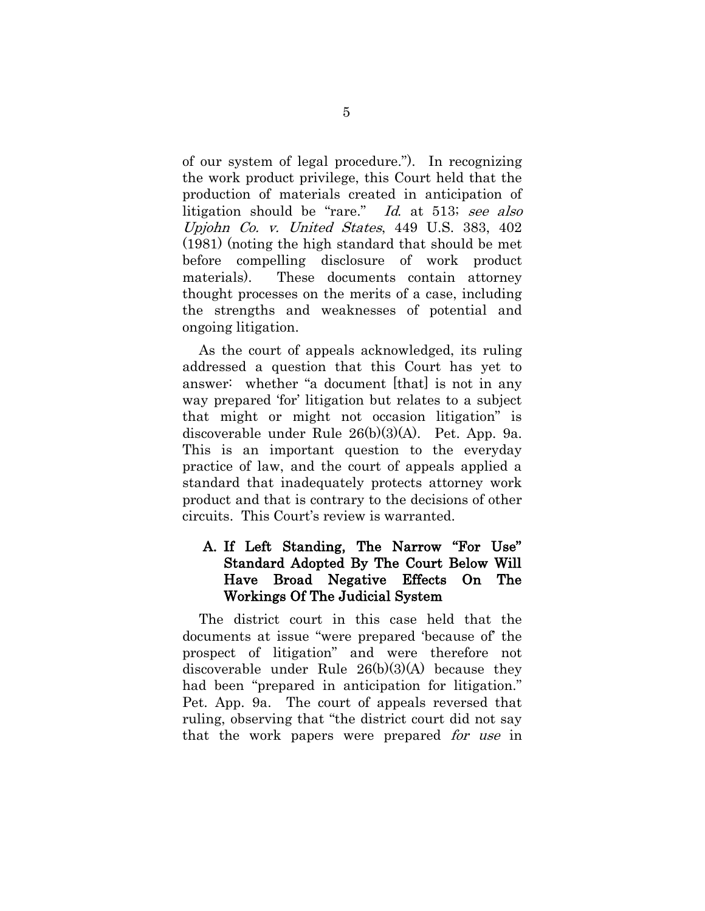of our system of legal procedure."). In recognizing the work product privilege, this Court held that the production of materials created in anticipation of litigation should be "rare." Id. at 513; see also Upjohn Co. v. United States, 449 U.S. 383, 402 (1981) (noting the high standard that should be met before compelling disclosure of work product materials). These documents contain attorney thought processes on the merits of a case, including the strengths and weaknesses of potential and ongoing litigation.

As the court of appeals acknowledged, its ruling addressed a question that this Court has yet to answer: whether "a document [that] is not in any way prepared 'for' litigation but relates to a subject that might or might not occasion litigation" is discoverable under Rule 26(b)(3)(A). Pet. App. 9a. This is an important question to the everyday practice of law, and the court of appeals applied a standard that inadequately protects attorney work product and that is contrary to the decisions of other circuits. This Court's review is warranted.

### A. If Left Standing, The Narrow "For Use" Standard Adopted By The Court Below Will Have Broad Negative Effects On The Workings Of The Judicial System

The district court in this case held that the documents at issue "were prepared "because of" the prospect of litigation" and were therefore not discoverable under Rule 26(b)(3)(A) because they had been "prepared in anticipation for litigation." Pet. App. 9a. The court of appeals reversed that ruling, observing that "the district court did not say that the work papers were prepared *for use* in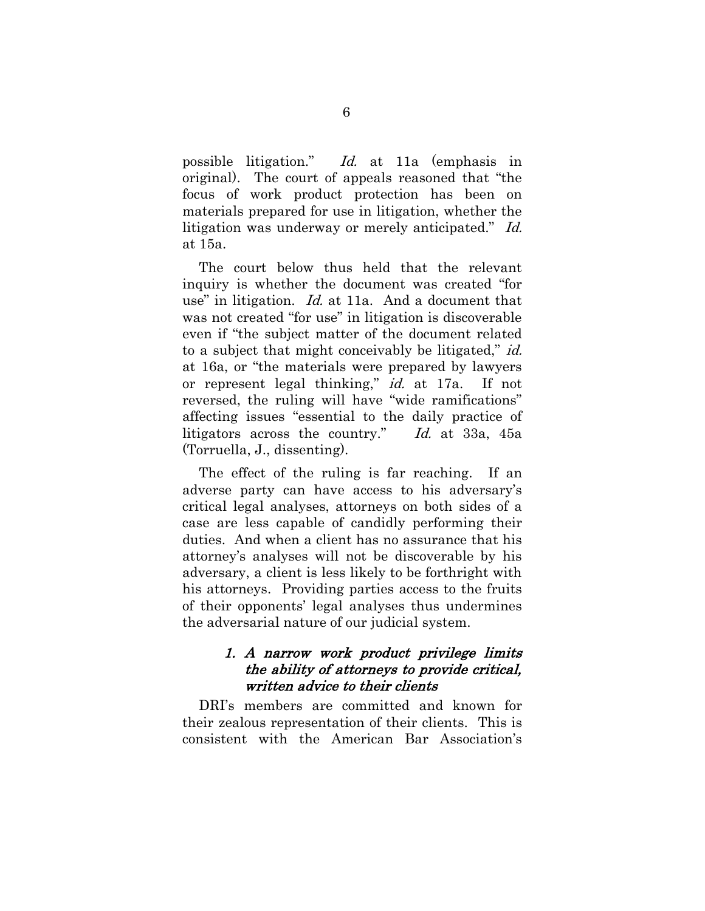possible litigation." Id. at 11a (emphasis in original). The court of appeals reasoned that "the focus of work product protection has been on materials prepared for use in litigation, whether the litigation was underway or merely anticipated." Id. at 15a.

The court below thus held that the relevant inquiry is whether the document was created "for use" in litigation. *Id.* at 11a. And a document that was not created "for use" in litigation is discoverable even if "the subject matter of the document related to a subject that might conceivably be litigated," id. at 16a, or "the materials were prepared by lawyers or represent legal thinking," id. at 17a. If not reversed, the ruling will have "wide ramifications" affecting issues "essential to the daily practice of litigators across the country." Id. at 33a, 45a (Torruella, J., dissenting).

The effect of the ruling is far reaching. If an adverse party can have access to his adversary's critical legal analyses, attorneys on both sides of a case are less capable of candidly performing their duties. And when a client has no assurance that his attorney"s analyses will not be discoverable by his adversary, a client is less likely to be forthright with his attorneys. Providing parties access to the fruits of their opponents" legal analyses thus undermines the adversarial nature of our judicial system.

#### 1. A narrow work product privilege limits the ability of attorneys to provide critical, written advice to their clients

DRI"s members are committed and known for their zealous representation of their clients. This is consistent with the American Bar Association"s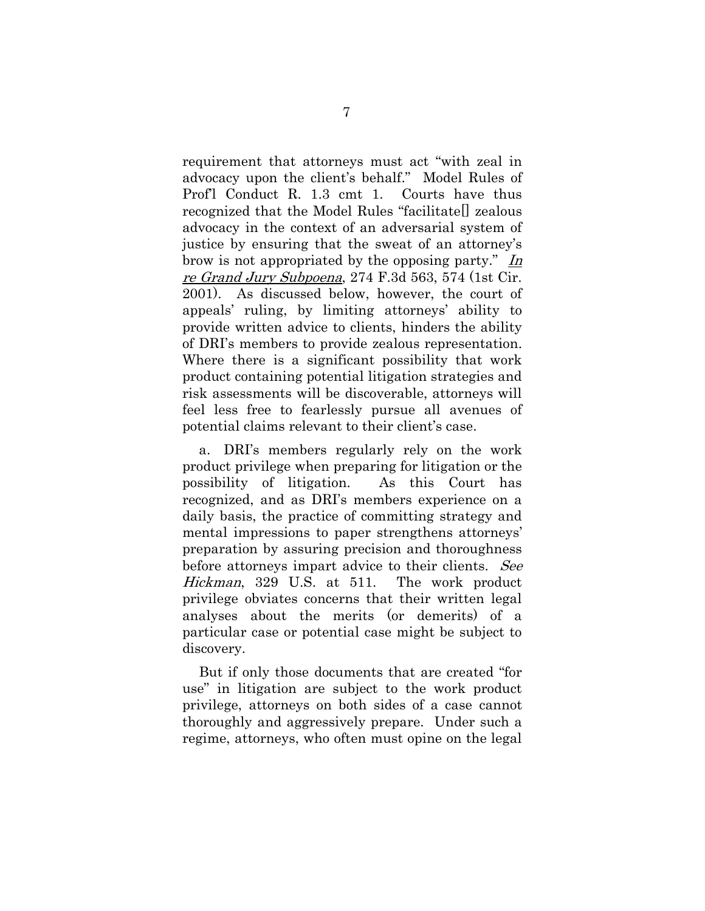requirement that attorneys must act "with zeal in advocacy upon the client's behalf." Model Rules of Prof'l Conduct R. 1.3 cmt 1. Courts have thus recognized that the Model Rules "facilitate[] zealous advocacy in the context of an adversarial system of justice by ensuring that the sweat of an attorney"s brow is not appropriated by the opposing party." In re Grand Jury Subpoena, 274 F.3d 563, 574 (1st Cir. 2001). As discussed below, however, the court of appeals" ruling, by limiting attorneys" ability to provide written advice to clients, hinders the ability of DRI"s members to provide zealous representation. Where there is a significant possibility that work product containing potential litigation strategies and risk assessments will be discoverable, attorneys will feel less free to fearlessly pursue all avenues of potential claims relevant to their client"s case.

a. DRI"s members regularly rely on the work product privilege when preparing for litigation or the possibility of litigation. As this Court has recognized, and as DRI"s members experience on a daily basis, the practice of committing strategy and mental impressions to paper strengthens attorneys' preparation by assuring precision and thoroughness before attorneys impart advice to their clients. See Hickman, 329 U.S. at 511. The work product privilege obviates concerns that their written legal analyses about the merits (or demerits) of a particular case or potential case might be subject to discovery.

But if only those documents that are created "for use" in litigation are subject to the work product privilege, attorneys on both sides of a case cannot thoroughly and aggressively prepare. Under such a regime, attorneys, who often must opine on the legal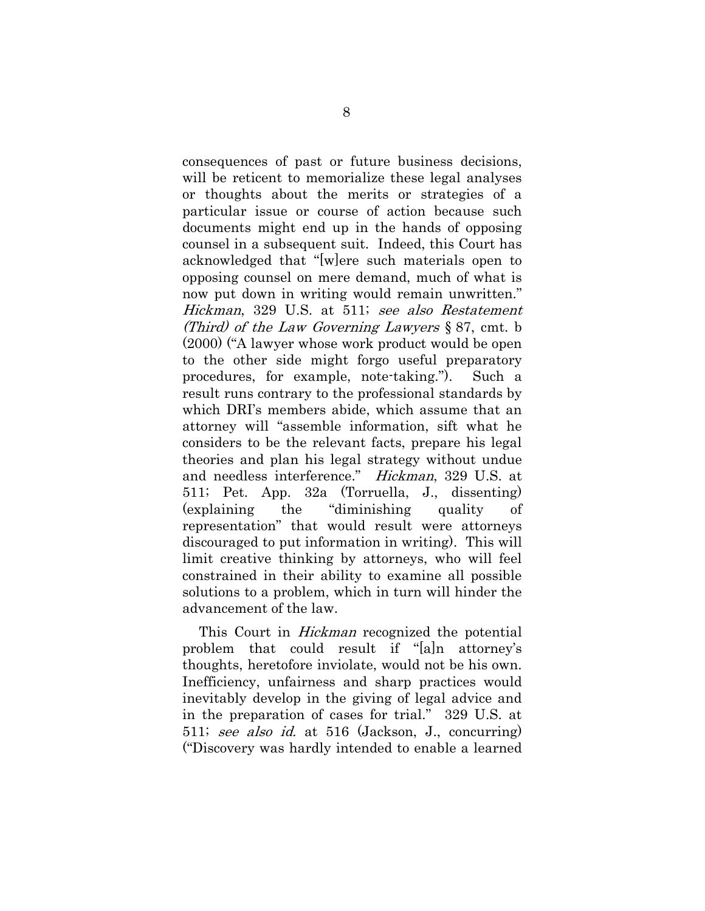consequences of past or future business decisions, will be reticent to memorialize these legal analyses or thoughts about the merits or strategies of a particular issue or course of action because such documents might end up in the hands of opposing counsel in a subsequent suit. Indeed, this Court has acknowledged that "[w]ere such materials open to opposing counsel on mere demand, much of what is now put down in writing would remain unwritten." Hickman, 329 U.S. at 511; see also Restatement (Third) of the Law Governing Lawyers § 87, cmt. b (2000) ("A lawyer whose work product would be open to the other side might forgo useful preparatory procedures, for example, note-taking."). Such a result runs contrary to the professional standards by which DRI"s members abide, which assume that an attorney will "assemble information, sift what he considers to be the relevant facts, prepare his legal theories and plan his legal strategy without undue and needless interference." Hickman, 329 U.S. at 511; Pet. App. 32a (Torruella, J., dissenting) (explaining the "diminishing quality of representation" that would result were attorneys discouraged to put information in writing). This will limit creative thinking by attorneys, who will feel constrained in their ability to examine all possible solutions to a problem, which in turn will hinder the advancement of the law.

This Court in *Hickman* recognized the potential problem that could result if "[a]n attorney"s thoughts, heretofore inviolate, would not be his own. Inefficiency, unfairness and sharp practices would inevitably develop in the giving of legal advice and in the preparation of cases for trial." 329 U.S. at 511; see also id. at 516 (Jackson, J., concurring) ("Discovery was hardly intended to enable a learned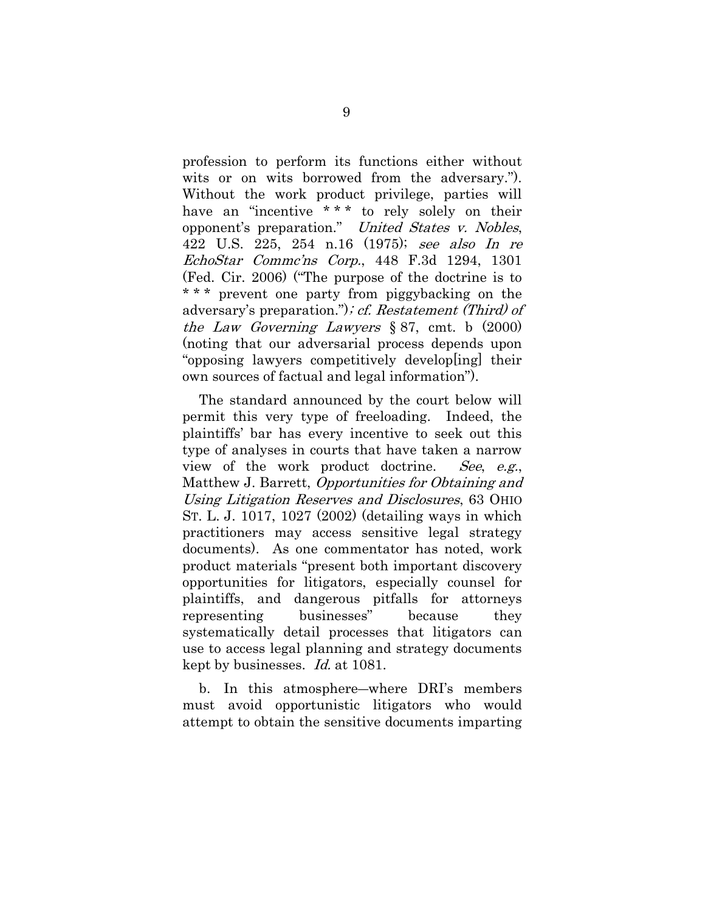profession to perform its functions either without wits or on wits borrowed from the adversary."). Without the work product privilege, parties will have an "incentive \*\*\* to rely solely on their opponent"s preparation." United States v. Nobles, 422 U.S. 225, 254 n.16 (1975); see also In re EchoStar Comme'ns Corp., 448 F.3d 1294, 1301 (Fed. Cir. 2006) ("The purpose of the doctrine is to \* \* \* prevent one party from piggybacking on the adversary's preparation."); cf. Restatement (Third) of the Law Governing Lawyers  $\S 87$ , cmt. b (2000) (noting that our adversarial process depends upon "opposing lawyers competitively develop[ing] their own sources of factual and legal information").

The standard announced by the court below will permit this very type of freeloading. Indeed, the plaintiffs" bar has every incentive to seek out this type of analyses in courts that have taken a narrow view of the work product doctrine. See, e.g., Matthew J. Barrett, Opportunities for Obtaining and Using Litigation Reserves and Disclosures, 63 OHIO ST. L. J. 1017, 1027 (2002) (detailing ways in which practitioners may access sensitive legal strategy documents). As one commentator has noted, work product materials "present both important discovery opportunities for litigators, especially counsel for plaintiffs, and dangerous pitfalls for attorneys representing businesses" because they systematically detail processes that litigators can use to access legal planning and strategy documents kept by businesses. Id. at 1081.

b. In this atmosphere―where DRI"s members must avoid opportunistic litigators who would attempt to obtain the sensitive documents imparting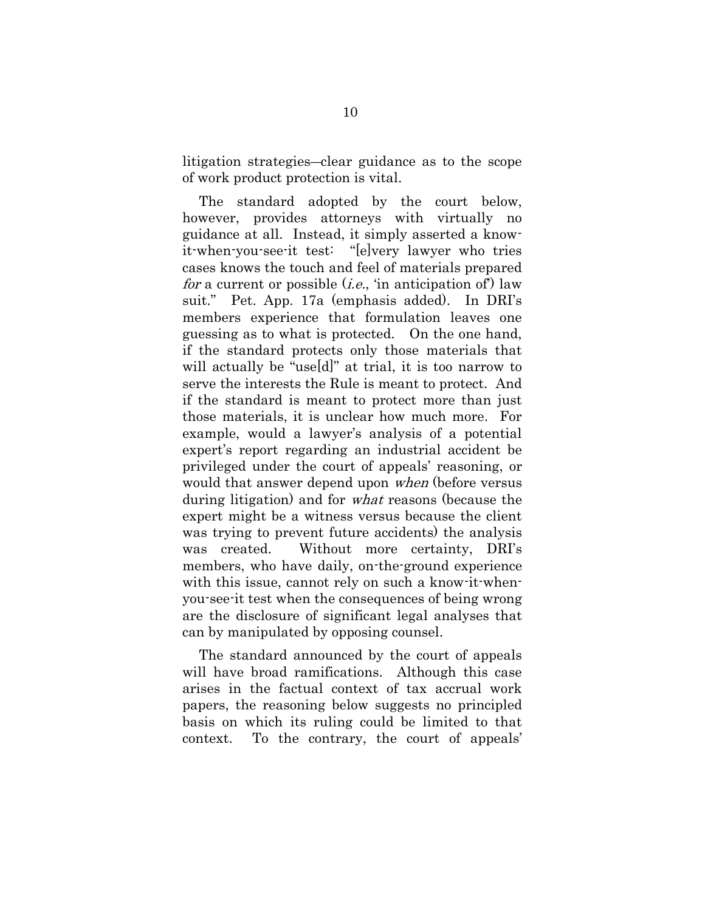litigation strategies―clear guidance as to the scope of work product protection is vital.

The standard adopted by the court below, however, provides attorneys with virtually no guidance at all. Instead, it simply asserted a knowit-when-you-see-it test: "[e]very lawyer who tries cases knows the touch and feel of materials prepared for a current or possible  $(i.e., 'in anticipation of')$  law suit." Pet. App. 17a (emphasis added). In DRI"s members experience that formulation leaves one guessing as to what is protected. On the one hand, if the standard protects only those materials that will actually be "use[d]" at trial, it is too narrow to serve the interests the Rule is meant to protect. And if the standard is meant to protect more than just those materials, it is unclear how much more. For example, would a lawyer's analysis of a potential expert's report regarding an industrial accident be privileged under the court of appeals" reasoning, or would that answer depend upon *when* (before versus during litigation) and for what reasons (because the expert might be a witness versus because the client was trying to prevent future accidents) the analysis was created. Without more certainty, DRI"s members, who have daily, on-the-ground experience with this issue, cannot rely on such a know-it-whenyou-see-it test when the consequences of being wrong are the disclosure of significant legal analyses that can by manipulated by opposing counsel.

The standard announced by the court of appeals will have broad ramifications. Although this case arises in the factual context of tax accrual work papers, the reasoning below suggests no principled basis on which its ruling could be limited to that context. To the contrary, the court of appeals"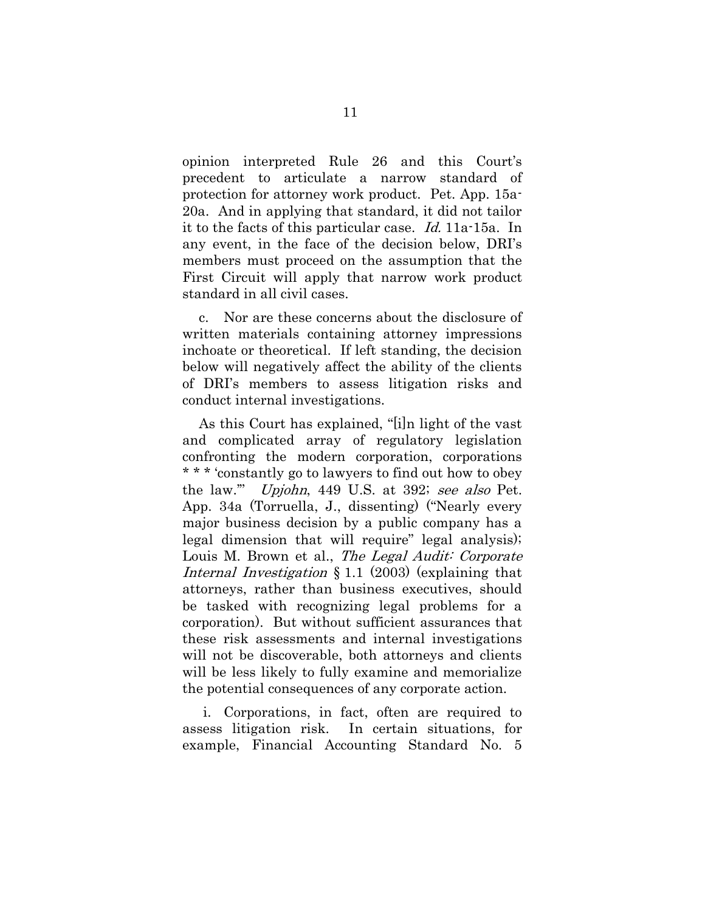opinion interpreted Rule 26 and this Court"s precedent to articulate a narrow standard of protection for attorney work product. Pet. App. 15a-20a. And in applying that standard, it did not tailor it to the facts of this particular case. Id. 11a-15a. In any event, in the face of the decision below, DRI"s members must proceed on the assumption that the First Circuit will apply that narrow work product standard in all civil cases.

c. Nor are these concerns about the disclosure of written materials containing attorney impressions inchoate or theoretical. If left standing, the decision below will negatively affect the ability of the clients of DRI"s members to assess litigation risks and conduct internal investigations.

As this Court has explained, "[i]n light of the vast and complicated array of regulatory legislation confronting the modern corporation, corporations \* \* \* "constantly go to lawyers to find out how to obey the law." Upjohn, 449 U.S. at 392; see also Pet. App. 34a (Torruella, J., dissenting) ("Nearly every major business decision by a public company has a legal dimension that will require" legal analysis); Louis M. Brown et al., The Legal Audit: Corporate Internal Investigation § 1.1 (2003) (explaining that attorneys, rather than business executives, should be tasked with recognizing legal problems for a corporation). But without sufficient assurances that these risk assessments and internal investigations will not be discoverable, both attorneys and clients will be less likely to fully examine and memorialize the potential consequences of any corporate action.

i. Corporations, in fact, often are required to assess litigation risk. In certain situations, for example, Financial Accounting Standard No. 5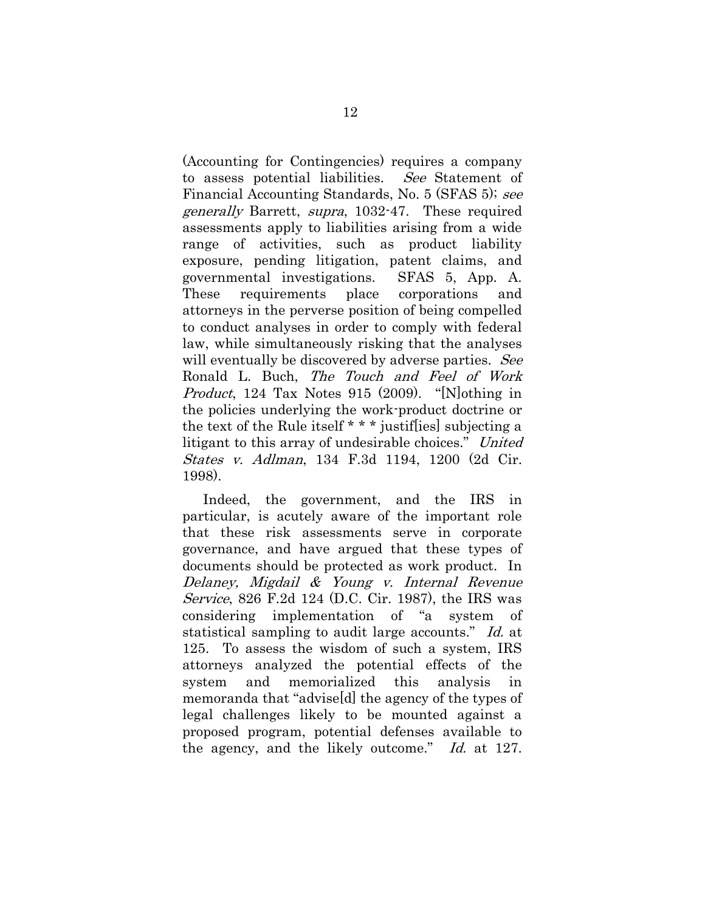(Accounting for Contingencies) requires a company to assess potential liabilities. See Statement of Financial Accounting Standards, No. 5 (SFAS 5); see generally Barrett, supra, 1032-47. These required assessments apply to liabilities arising from a wide range of activities, such as product liability exposure, pending litigation, patent claims, and governmental investigations. SFAS 5, App. A. These requirements place corporations and attorneys in the perverse position of being compelled to conduct analyses in order to comply with federal law, while simultaneously risking that the analyses will eventually be discovered by adverse parties. See Ronald L. Buch, The Touch and Feel of Work Product, 124 Tax Notes 915 (2009). "[N]othing in the policies underlying the work-product doctrine or the text of the Rule itself \* \* \* justif[ies] subjecting a litigant to this array of undesirable choices." United States v. Adlman, 134 F.3d 1194, 1200 (2d Cir. 1998).

Indeed, the government, and the IRS in particular, is acutely aware of the important role that these risk assessments serve in corporate governance, and have argued that these types of documents should be protected as work product. In Delaney, Migdail & Young v. Internal Revenue Service, 826 F.2d 124 (D.C. Cir. 1987), the IRS was considering implementation of "a system of statistical sampling to audit large accounts." Id. at 125. To assess the wisdom of such a system, IRS attorneys analyzed the potential effects of the system and memorialized this analysis in memoranda that "advise[d] the agency of the types of legal challenges likely to be mounted against a proposed program, potential defenses available to the agency, and the likely outcome." Id. at 127.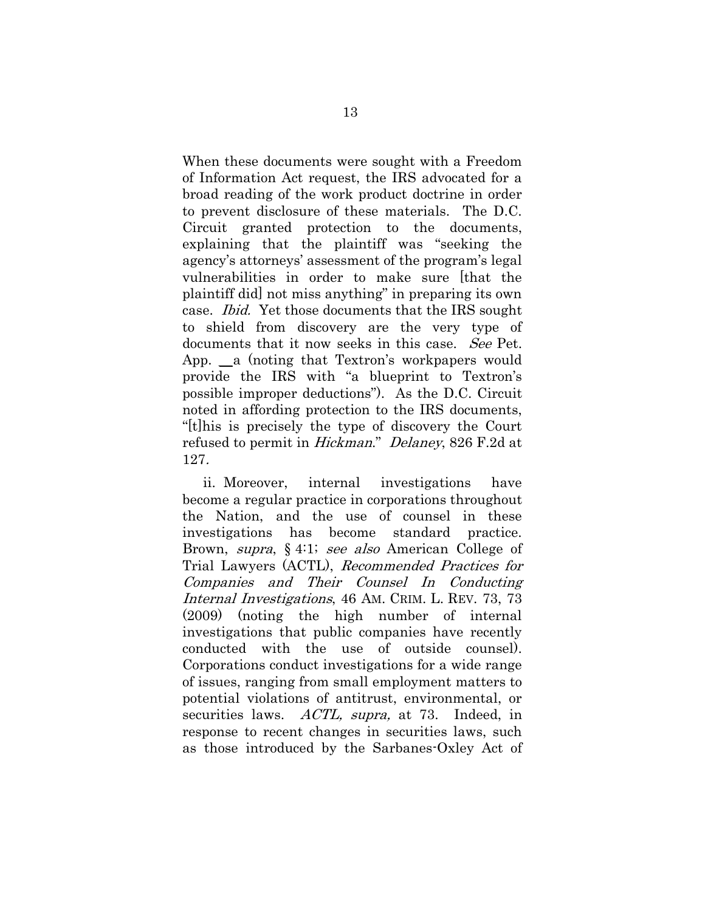When these documents were sought with a Freedom of Information Act request, the IRS advocated for a broad reading of the work product doctrine in order to prevent disclosure of these materials. The D.C. Circuit granted protection to the documents, explaining that the plaintiff was "seeking the agency's attorneys' assessment of the program's legal vulnerabilities in order to make sure [that the plaintiff did] not miss anything" in preparing its own case. Ibid. Yet those documents that the IRS sought to shield from discovery are the very type of documents that it now seeks in this case. See Pet. App. a (noting that Textron's workpapers would provide the IRS with "a blueprint to Textron"s possible improper deductions"). As the D.C. Circuit noted in affording protection to the IRS documents, "[t]his is precisely the type of discovery the Court refused to permit in Hickman." Delaney, 826 F.2d at 127.

ii. Moreover, internal investigations have become a regular practice in corporations throughout the Nation, and the use of counsel in these investigations has become standard practice. Brown, *supra*, § 4:1; *see also* American College of Trial Lawyers (ACTL), Recommended Practices for Companies and Their Counsel In Conducting Internal Investigations, 46 AM. CRIM. L. REV. 73, 73 (2009) (noting the high number of internal investigations that public companies have recently conducted with the use of outside counsel). Corporations conduct investigations for a wide range of issues, ranging from small employment matters to potential violations of antitrust, environmental, or securities laws. *ACTL, supra*, at 73. Indeed, in response to recent changes in securities laws, such as those introduced by the Sarbanes-Oxley Act of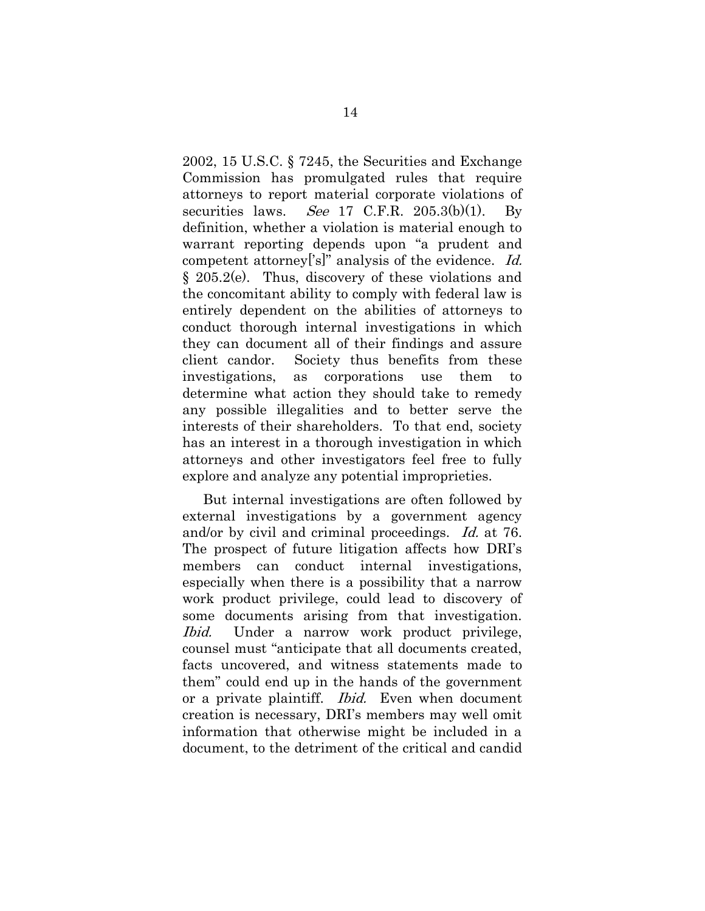2002, 15 U.S.C. § 7245, the Securities and Exchange Commission has promulgated rules that require attorneys to report material corporate violations of securities laws. See 17 C.F.R.  $205.3(b)(1)$ . By definition, whether a violation is material enough to warrant reporting depends upon "a prudent and competent attorney<sup>['s]"</sup> analysis of the evidence. Id. § 205.2(e). Thus, discovery of these violations and the concomitant ability to comply with federal law is entirely dependent on the abilities of attorneys to conduct thorough internal investigations in which they can document all of their findings and assure client candor. Society thus benefits from these investigations, as corporations use them to determine what action they should take to remedy any possible illegalities and to better serve the interests of their shareholders. To that end, society has an interest in a thorough investigation in which attorneys and other investigators feel free to fully explore and analyze any potential improprieties.

But internal investigations are often followed by external investigations by a government agency and/or by civil and criminal proceedings. Id. at 76. The prospect of future litigation affects how DRI"s members can conduct internal investigations, especially when there is a possibility that a narrow work product privilege, could lead to discovery of some documents arising from that investigation. Ibid. Under a narrow work product privilege, counsel must "anticipate that all documents created, facts uncovered, and witness statements made to them" could end up in the hands of the government or a private plaintiff. Ibid. Even when document creation is necessary, DRI"s members may well omit information that otherwise might be included in a document, to the detriment of the critical and candid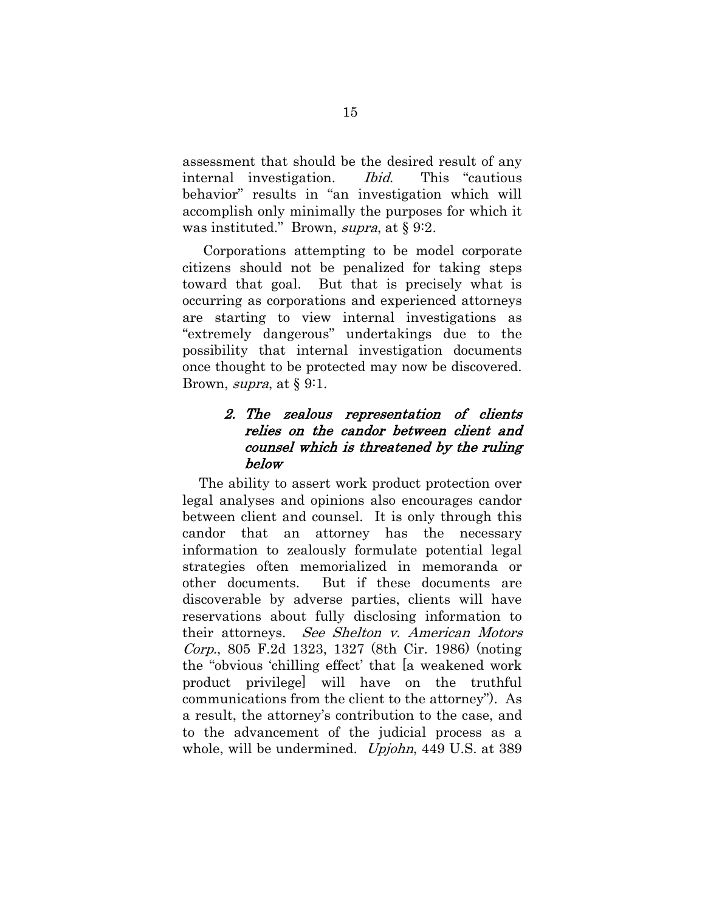assessment that should be the desired result of any internal investigation. Ibid. This "cautious behavior" results in "an investigation which will accomplish only minimally the purposes for which it was instituted." Brown, *supra*, at § 9:2.

Corporations attempting to be model corporate citizens should not be penalized for taking steps toward that goal. But that is precisely what is occurring as corporations and experienced attorneys are starting to view internal investigations as "extremely dangerous" undertakings due to the possibility that internal investigation documents once thought to be protected may now be discovered. Brown, *supra*, at  $\S 9:1$ .

## 2. The zealous representation of clients relies on the candor between client and counsel which is threatened by the ruling below

The ability to assert work product protection over legal analyses and opinions also encourages candor between client and counsel. It is only through this candor that an attorney has the necessary information to zealously formulate potential legal strategies often memorialized in memoranda or other documents. But if these documents are discoverable by adverse parties, clients will have reservations about fully disclosing information to their attorneys. See Shelton v. American Motors Corp., 805 F.2d 1323, 1327 (8th Cir. 1986) (noting the "obvious "chilling effect" that [a weakened work product privilege] will have on the truthful communications from the client to the attorney"). As a result, the attorney"s contribution to the case, and to the advancement of the judicial process as a whole, will be undermined. *Upjohn*, 449 U.S. at 389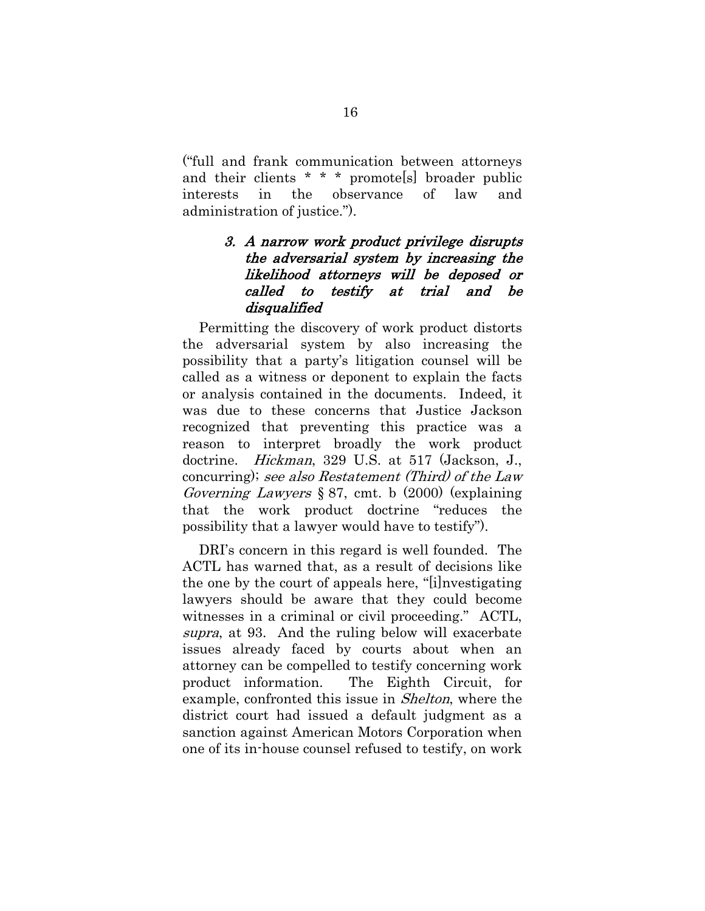("full and frank communication between attorneys and their clients \* \* \* promote[s] broader public interests in the observance of law and administration of justice.").

#### 3. A narrow work product privilege disrupts the adversarial system by increasing the likelihood attorneys will be deposed or called to testify at trial and be disqualified

Permitting the discovery of work product distorts the adversarial system by also increasing the possibility that a party"s litigation counsel will be called as a witness or deponent to explain the facts or analysis contained in the documents. Indeed, it was due to these concerns that Justice Jackson recognized that preventing this practice was a reason to interpret broadly the work product doctrine. Hickman, 329 U.S. at 517 (Jackson, J., concurring); see also Restatement (Third) of the Law Governing Lawyers § 87, cmt. b (2000) (explaining that the work product doctrine "reduces the possibility that a lawyer would have to testify").

DRI's concern in this regard is well founded. The ACTL has warned that, as a result of decisions like the one by the court of appeals here, "[i]nvestigating lawyers should be aware that they could become witnesses in a criminal or civil proceeding." ACTL, supra, at 93. And the ruling below will exacerbate issues already faced by courts about when an attorney can be compelled to testify concerning work product information. The Eighth Circuit, for example, confronted this issue in Shelton, where the district court had issued a default judgment as a sanction against American Motors Corporation when one of its in-house counsel refused to testify, on work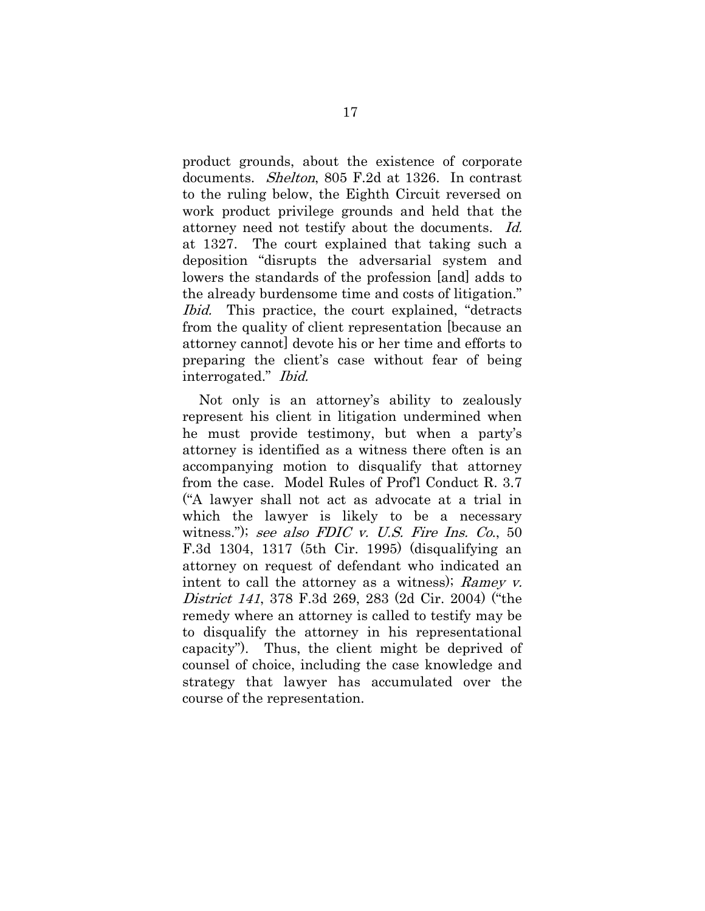product grounds, about the existence of corporate documents. Shelton, 805 F.2d at 1326. In contrast to the ruling below, the Eighth Circuit reversed on work product privilege grounds and held that the attorney need not testify about the documents. Id. at 1327. The court explained that taking such a deposition "disrupts the adversarial system and lowers the standards of the profession [and] adds to the already burdensome time and costs of litigation." Ibid. This practice, the court explained, "detracts from the quality of client representation [because an attorney cannot] devote his or her time and efforts to preparing the client's case without fear of being interrogated." Ibid.

Not only is an attorney's ability to zealously represent his client in litigation undermined when he must provide testimony, but when a party's attorney is identified as a witness there often is an accompanying motion to disqualify that attorney from the case. Model Rules of Prof"l Conduct R. 3.7 ("A lawyer shall not act as advocate at a trial in which the lawyer is likely to be a necessary witness."); see also FDIC v. U.S. Fire Ins. Co.,  $50$ F.3d 1304, 1317 (5th Cir. 1995) (disqualifying an attorney on request of defendant who indicated an intent to call the attorney as a witness); Ramey v. District 141, 378 F.3d 269, 283 (2d Cir. 2004) ("the remedy where an attorney is called to testify may be to disqualify the attorney in his representational capacity"). Thus, the client might be deprived of counsel of choice, including the case knowledge and strategy that lawyer has accumulated over the course of the representation.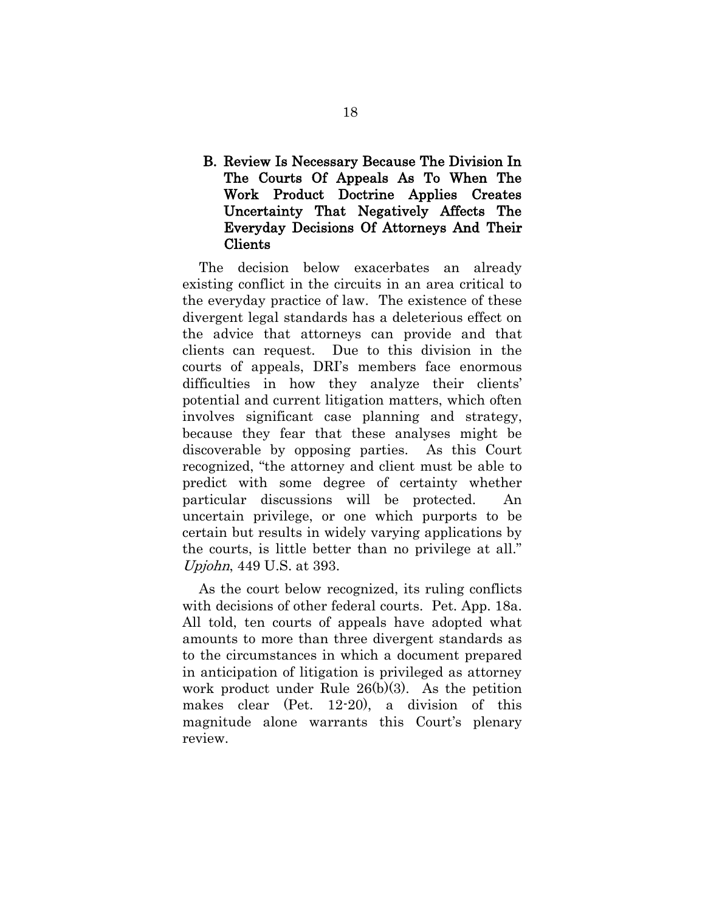### B. Review Is Necessary Because The Division In The Courts Of Appeals As To When The Work Product Doctrine Applies Creates Uncertainty That Negatively Affects The Everyday Decisions Of Attorneys And Their Clients

The decision below exacerbates an already existing conflict in the circuits in an area critical to the everyday practice of law. The existence of these divergent legal standards has a deleterious effect on the advice that attorneys can provide and that clients can request. Due to this division in the courts of appeals, DRI"s members face enormous difficulties in how they analyze their clients' potential and current litigation matters, which often involves significant case planning and strategy, because they fear that these analyses might be discoverable by opposing parties. As this Court recognized, "the attorney and client must be able to predict with some degree of certainty whether particular discussions will be protected. An uncertain privilege, or one which purports to be certain but results in widely varying applications by the courts, is little better than no privilege at all." Upjohn, 449 U.S. at 393.

As the court below recognized, its ruling conflicts with decisions of other federal courts. Pet. App. 18a. All told, ten courts of appeals have adopted what amounts to more than three divergent standards as to the circumstances in which a document prepared in anticipation of litigation is privileged as attorney work product under Rule 26(b)(3). As the petition makes clear (Pet. 12-20), a division of this magnitude alone warrants this Court's plenary review.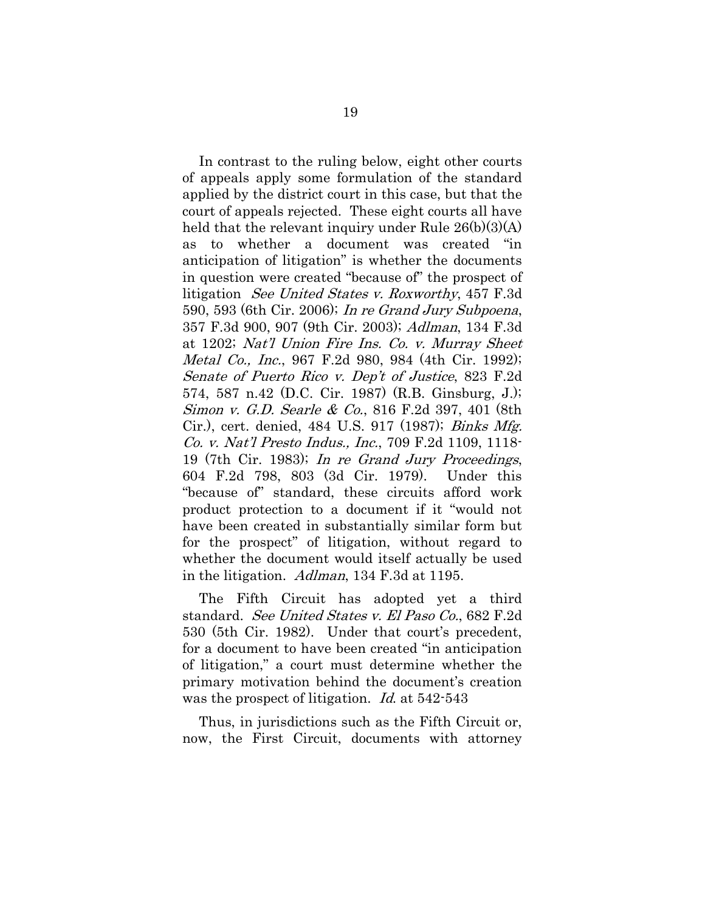In contrast to the ruling below, eight other courts of appeals apply some formulation of the standard applied by the district court in this case, but that the court of appeals rejected. These eight courts all have held that the relevant inquiry under Rule 26(b)(3)(A) as to whether a document was created "in anticipation of litigation" is whether the documents in question were created "because of" the prospect of litigation See United States v. Roxworthy, 457 F.3d 590, 593 (6th Cir. 2006); In re Grand Jury Subpoena, 357 F.3d 900, 907 (9th Cir. 2003); Adlman, 134 F.3d at 1202; Nat'l Union Fire Ins. Co. v. Murray Sheet Metal Co., Inc., 967 F.2d 980, 984 (4th Cir. 1992); Senate of Puerto Rico v. Dep't of Justice, 823 F.2d 574, 587 n.42 (D.C. Cir. 1987) (R.B. Ginsburg, J.); Simon v. G.D. Searle & Co., 816 F.2d 397, 401 (8th Cir.), cert. denied, 484 U.S. 917 (1987); Binks Mfg. Co. v. Nat'l Presto Indus., Inc., 709 F.2d 1109, 1118-19 (7th Cir. 1983); In re Grand Jury Proceedings, 604 F.2d 798, 803 (3d Cir. 1979). Under this "because of" standard, these circuits afford work product protection to a document if it "would not have been created in substantially similar form but for the prospect" of litigation, without regard to whether the document would itself actually be used in the litigation. Adlman, 134 F.3d at 1195.

The Fifth Circuit has adopted yet a third standard. See United States v. El Paso Co., 682 F.2d 530 (5th Cir. 1982). Under that court's precedent, for a document to have been created "in anticipation of litigation," a court must determine whether the primary motivation behind the document's creation was the prospect of litigation. Id. at 542-543

Thus, in jurisdictions such as the Fifth Circuit or, now, the First Circuit, documents with attorney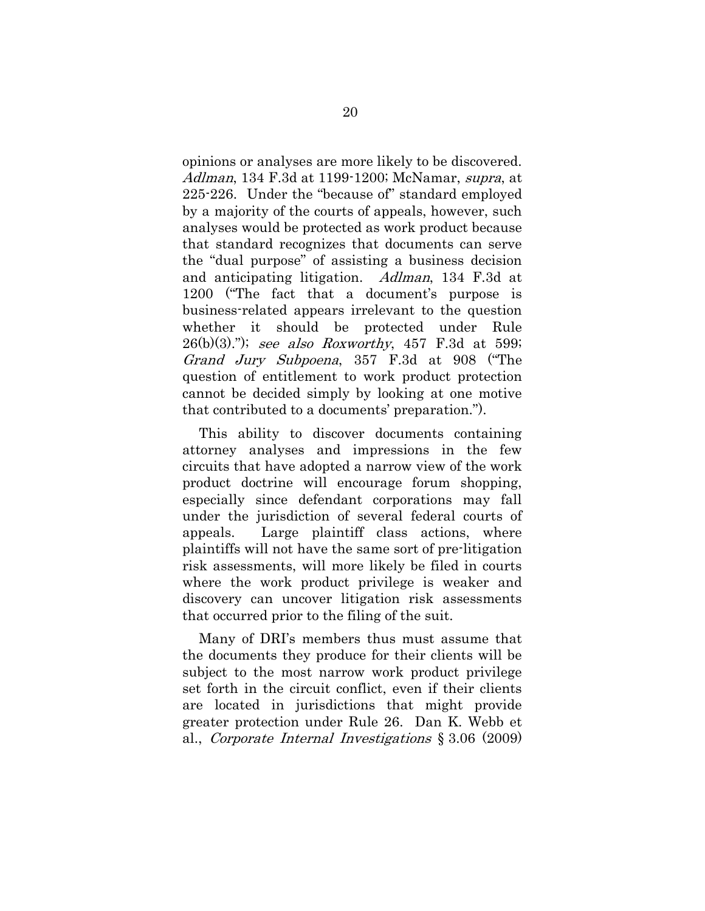opinions or analyses are more likely to be discovered. Adlman, 134 F.3d at 1199-1200; McNamar, *supra*, at 225-226. Under the "because of" standard employed by a majority of the courts of appeals, however, such analyses would be protected as work product because that standard recognizes that documents can serve the "dual purpose" of assisting a business decision and anticipating litigation. Adlman, 134 F.3d at 1200 ("The fact that a document's purpose is business-related appears irrelevant to the question whether it should be protected under Rule  $26(b)(3)$ ."); see also Roxworthy, 457 F.3d at 599; Grand Jury Subpoena, 357 F.3d at 908 ("The question of entitlement to work product protection cannot be decided simply by looking at one motive that contributed to a documents' preparation.").

This ability to discover documents containing attorney analyses and impressions in the few circuits that have adopted a narrow view of the work product doctrine will encourage forum shopping, especially since defendant corporations may fall under the jurisdiction of several federal courts of appeals. Large plaintiff class actions, where plaintiffs will not have the same sort of pre-litigation risk assessments, will more likely be filed in courts where the work product privilege is weaker and discovery can uncover litigation risk assessments that occurred prior to the filing of the suit.

Many of DRI"s members thus must assume that the documents they produce for their clients will be subject to the most narrow work product privilege set forth in the circuit conflict, even if their clients are located in jurisdictions that might provide greater protection under Rule 26. Dan K. Webb et al., Corporate Internal Investigations § 3.06 (2009)